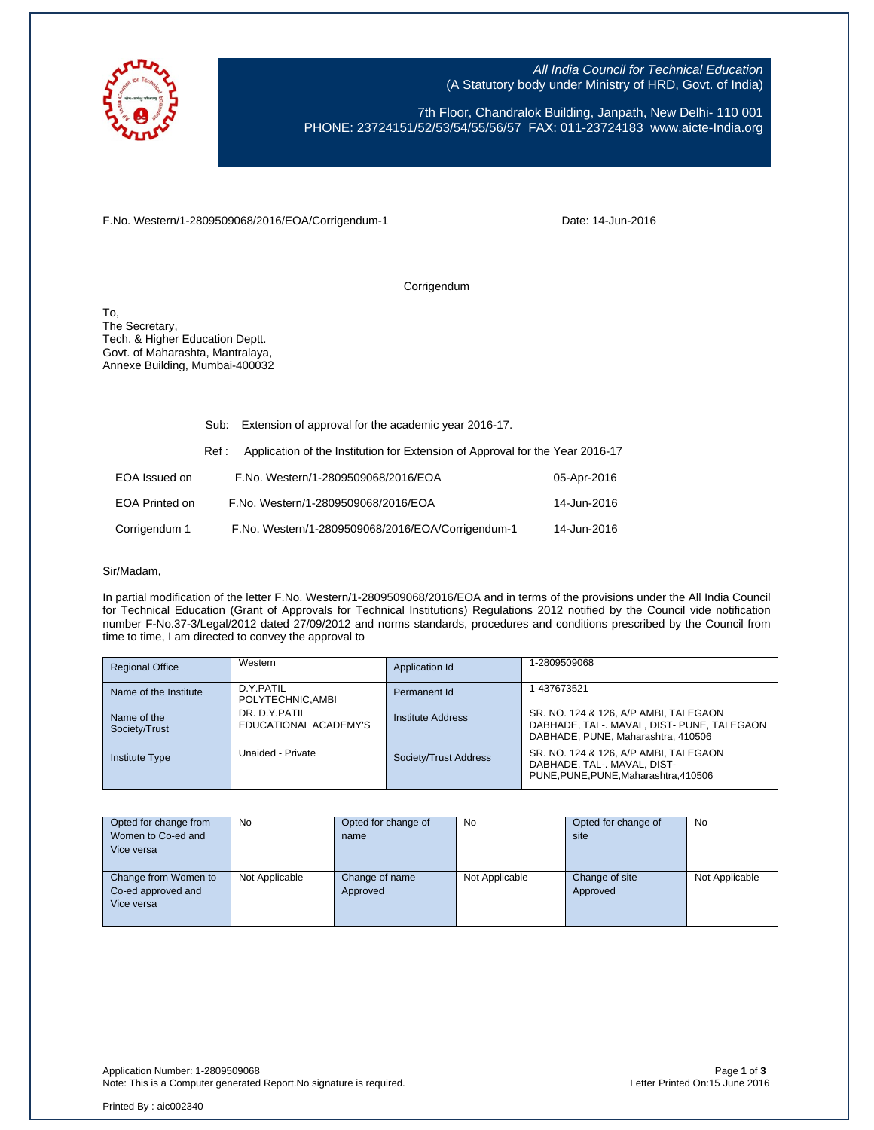

All India Council for Technical Education (A Statutory body under Ministry of HRD, Govt. of India)

7th Floor, Chandralok Building, Janpath, New Delhi- 110 001 PHONE: 23724151/52/53/54/55/56/57 FAX: 011-23724183 [www.aicte-India.org](http://www.aicte-india.org/)

F.No. Western/1-2809509068/2016/EOA/Corrigendum-1

Date: 14-Jun-2016

Corrigendum

To, The Secretary, Tech. & Higher Education Deptt. Govt. of Maharashta, Mantralaya, Annexe Building, Mumbai-400032

|                       | Sub:  | Extension of approval for the academic year 2016-17.                          |             |  |
|-----------------------|-------|-------------------------------------------------------------------------------|-------------|--|
|                       | Ref : | Application of the Institution for Extension of Approval for the Year 2016-17 |             |  |
| EOA Issued on         |       | F.No. Western/1-2809509068/2016/EOA                                           | 05-Apr-2016 |  |
| <b>EOA Printed on</b> |       | F.No. Western/1-2809509068/2016/EOA                                           | 14-Jun-2016 |  |
| Corrigendum 1         |       | F.No. Western/1-2809509068/2016/EOA/Corrigendum-1                             | 14-Jun-2016 |  |

## Sir/Madam,

In partial modification of the letter F.No. Western/1-2809509068/2016/EOA and in terms of the provisions under the All India Council for Technical Education (Grant of Approvals for Technical Institutions) Regulations 2012 notified by the Council vide notification number F-No.37-3/Legal/2012 dated 27/09/2012 and norms standards, procedures and conditions prescribed by the Council from time to time, I am directed to convey the approval to

| <b>Regional Office</b>       | Western                                | Application Id        | 1-2809509068                                                                                                              |
|------------------------------|----------------------------------------|-----------------------|---------------------------------------------------------------------------------------------------------------------------|
| Name of the Institute        | D.Y.PATIL<br>POLYTECHNIC, AMBI         | Permanent Id          | 1-437673521                                                                                                               |
| Name of the<br>Society/Trust | DR. D.Y.PATIL<br>EDUCATIONAL ACADEMY'S | Institute Address     | SR. NO. 124 & 126, A/P AMBI, TALEGAON<br>DABHADE, TAL-. MAVAL, DIST- PUNE, TALEGAON<br>DABHADE, PUNE, Maharashtra, 410506 |
| <b>Institute Type</b>        | Unaided - Private                      | Society/Trust Address | SR. NO. 124 & 126, A/P AMBI, TALEGAON<br>DABHADE, TAL-, MAVAL, DIST-<br>PUNE.PUNE.PUNE.Maharashtra.410506                 |

| Opted for change from | No             | Opted for change of | No             | Opted for change of | <b>No</b>      |
|-----------------------|----------------|---------------------|----------------|---------------------|----------------|
| Women to Co-ed and    |                | name                |                | site                |                |
| Vice versa            |                |                     |                |                     |                |
|                       |                |                     |                |                     |                |
| Change from Women to  | Not Applicable | Change of name      | Not Applicable | Change of site      | Not Applicable |
| Co-ed approved and    |                | Approved            |                | Approved            |                |
| Vice versa            |                |                     |                |                     |                |
|                       |                |                     |                |                     |                |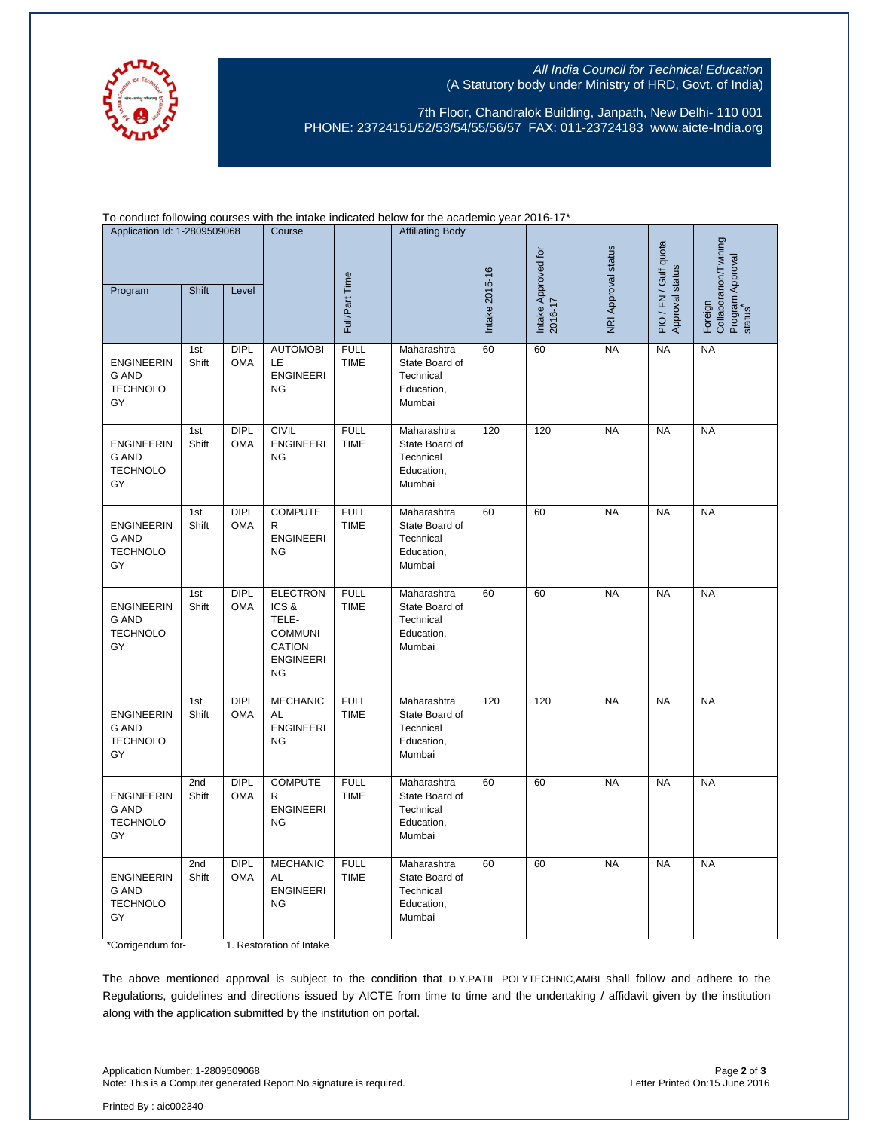

## All India Council for Technical Education (A Statutory body under Ministry of HRD, Govt. of India)

7th Floor, Chandralok Building, Janpath, New Delhi- 110 001 PHONE: 23724151/52/53/54/55/56/57 FAX: 011-23724183 [www.aicte-India.org](http://www.aicte-india.org/)

To conduct following courses with the intake indicated below for the academic year 2016-17\*

| Application Id: 1-2809509068<br>Shift<br>Program<br>Level                       |              | Course                    | Full/Part Time                                                                                       | <b>Affiliating Body</b>    | Intake 2015-16                                                     | Intake Approved for<br>2016-17 | NRI Approval status | PIO / FN / Gulf quota<br>Approval status | Collaborarion/Twining<br>Program Approval<br>status<br>Foreign |           |
|---------------------------------------------------------------------------------|--------------|---------------------------|------------------------------------------------------------------------------------------------------|----------------------------|--------------------------------------------------------------------|--------------------------------|---------------------|------------------------------------------|----------------------------------------------------------------|-----------|
| <b>ENGINEERIN</b><br><b>G AND</b><br><b>TECHNOLO</b><br>GY                      | 1st<br>Shift | <b>DIPL</b><br><b>OMA</b> | <b>AUTOMOBI</b><br><b>LE</b><br><b>ENGINEERI</b><br><b>NG</b>                                        | <b>FULL</b><br><b>TIME</b> | Maharashtra<br>State Board of<br>Technical<br>Education,<br>Mumbai | 60                             | 60                  | <b>NA</b>                                | <b>NA</b>                                                      | <b>NA</b> |
| <b>ENGINEERIN</b><br><b>G AND</b><br><b>TECHNOLO</b><br>GY                      | 1st<br>Shift | DIPL<br>OMA               | <b>CIVIL</b><br><b>ENGINEERI</b><br><b>NG</b>                                                        | <b>FULL</b><br><b>TIME</b> | Maharashtra<br>State Board of<br>Technical<br>Education,<br>Mumbai | 120                            | 120                 | <b>NA</b>                                | <b>NA</b>                                                      | <b>NA</b> |
| <b>ENGINEERIN</b><br>G AND<br><b>TECHNOLO</b><br>GY                             | 1st<br>Shift | DIPL<br><b>OMA</b>        | <b>COMPUTE</b><br>R<br><b>ENGINEERI</b><br><b>NG</b>                                                 | <b>FULL</b><br><b>TIME</b> | Maharashtra<br>State Board of<br>Technical<br>Education,<br>Mumbai | 60                             | 60                  | <b>NA</b>                                | <b>NA</b>                                                      | <b>NA</b> |
| <b>ENGINEERIN</b><br>G AND<br><b>TECHNOLO</b><br>GY                             | 1st<br>Shift | <b>DIPL</b><br><b>OMA</b> | <b>ELECTRON</b><br>ICS&<br>TELE-<br><b>COMMUNI</b><br><b>CATION</b><br><b>ENGINEERI</b><br><b>NG</b> | <b>FULL</b><br><b>TIME</b> | Maharashtra<br>State Board of<br>Technical<br>Education,<br>Mumbai | 60                             | 60                  | <b>NA</b>                                | <b>NA</b>                                                      | <b>NA</b> |
| <b>ENGINEERIN</b><br><b>G AND</b><br><b>TECHNOLO</b><br>GY                      | 1st<br>Shift | <b>DIPL</b><br><b>OMA</b> | <b>MECHANIC</b><br>AL<br><b>ENGINEERI</b><br><b>NG</b>                                               | <b>FULL</b><br><b>TIME</b> | Maharashtra<br>State Board of<br>Technical<br>Education,<br>Mumbai | 120                            | 120                 | <b>NA</b>                                | <b>NA</b>                                                      | <b>NA</b> |
| <b>ENGINEERIN</b><br><b>G AND</b><br><b>TECHNOLO</b><br>GY                      | 2nd<br>Shift | <b>DIPL</b><br><b>OMA</b> | <b>COMPUTE</b><br>R<br><b>ENGINEERI</b><br><b>NG</b>                                                 | <b>FULL</b><br><b>TIME</b> | Maharashtra<br>State Board of<br>Technical<br>Education,<br>Mumbai | 60                             | 60                  | <b>NA</b>                                | <b>NA</b>                                                      | <b>NA</b> |
| <b>ENGINEERIN</b><br><b>G AND</b><br><b>TECHNOLO</b><br>GY<br>*Corrigendum for- | 2nd<br>Shift | <b>DIPL</b><br><b>OMA</b> | <b>MECHANIC</b><br><b>AL</b><br><b>ENGINEERI</b><br><b>NG</b><br>1. Restoration of Intake            | <b>FULL</b><br><b>TIME</b> | Maharashtra<br>State Board of<br>Technical<br>Education,<br>Mumbai | 60                             | 60                  | <b>NA</b>                                | <b>NA</b>                                                      | <b>NA</b> |

The above mentioned approval is subject to the condition that D.Y.PATIL POLYTECHNIC,AMBI shall follow and adhere to the Regulations, guidelines and directions issued by AICTE from time to time and the undertaking / affidavit given by the institution along with the application submitted by the institution on portal.

Application Number: 1-2809509068 Page **2** of **3** Note: This is a Computer generated Report. No signature is required.

Printed By : aic002340